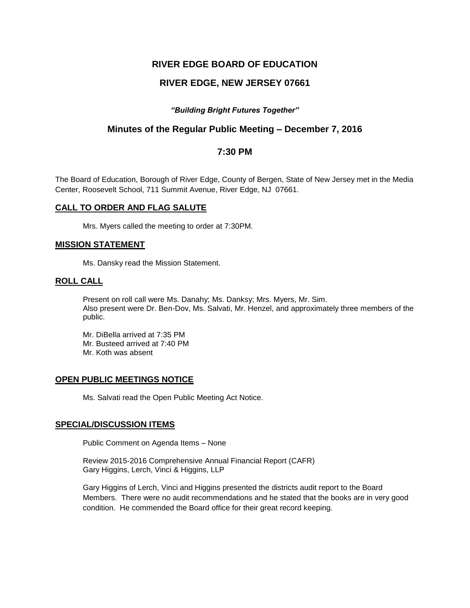# **RIVER EDGE BOARD OF EDUCATION**

# **RIVER EDGE, NEW JERSEY 07661**

## *"Building Bright Futures Together"*

# **Minutes of the Regular Public Meeting – December 7, 2016**

## **7:30 PM**

The Board of Education, Borough of River Edge, County of Bergen, State of New Jersey met in the Media Center, Roosevelt School, 711 Summit Avenue, River Edge, NJ 07661.

#### **CALL TO ORDER AND FLAG SALUTE**

Mrs. Myers called the meeting to order at 7:30PM.

#### **MISSION STATEMENT**

Ms. Dansky read the Mission Statement.

### **ROLL CALL**

Present on roll call were Ms. Danahy; Ms. Danksy; Mrs. Myers, Mr. Sim. Also present were Dr. Ben-Dov, Ms. Salvati, Mr. Henzel, and approximately three members of the public.

Mr. DiBella arrived at 7:35 PM Mr. Busteed arrived at 7:40 PM Mr. Koth was absent

### **OPEN PUBLIC MEETINGS NOTICE**

Ms. Salvati read the Open Public Meeting Act Notice.

#### **SPECIAL/DISCUSSION ITEMS**

Public Comment on Agenda Items – None

Review 2015-2016 Comprehensive Annual Financial Report (CAFR) Gary Higgins, Lerch, Vinci & Higgins, LLP

Gary Higgins of Lerch, Vinci and Higgins presented the districts audit report to the Board Members. There were no audit recommendations and he stated that the books are in very good condition. He commended the Board office for their great record keeping.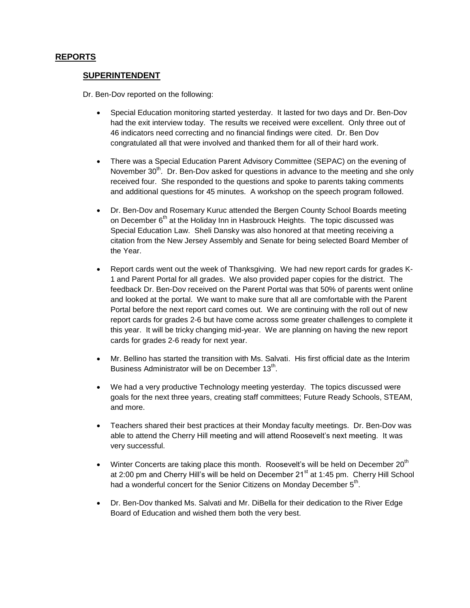## **REPORTS**

### **SUPERINTENDENT**

Dr. Ben-Dov reported on the following:

- Special Education monitoring started yesterday. It lasted for two days and Dr. Ben-Dov had the exit interview today. The results we received were excellent. Only three out of 46 indicators need correcting and no financial findings were cited. Dr. Ben Dov congratulated all that were involved and thanked them for all of their hard work.
- There was a Special Education Parent Advisory Committee (SEPAC) on the evening of November  $30<sup>th</sup>$ . Dr. Ben-Dov asked for questions in advance to the meeting and she only received four. She responded to the questions and spoke to parents taking comments and additional questions for 45 minutes. A workshop on the speech program followed.
- Dr. Ben-Dov and Rosemary Kuruc attended the Bergen County School Boards meeting on December  $6<sup>th</sup>$  at the Holiday Inn in Hasbrouck Heights. The topic discussed was Special Education Law. Sheli Dansky was also honored at that meeting receiving a citation from the New Jersey Assembly and Senate for being selected Board Member of the Year.
- Report cards went out the week of Thanksgiving. We had new report cards for grades K-1 and Parent Portal for all grades. We also provided paper copies for the district. The feedback Dr. Ben-Dov received on the Parent Portal was that 50% of parents went online and looked at the portal. We want to make sure that all are comfortable with the Parent Portal before the next report card comes out. We are continuing with the roll out of new report cards for grades 2-6 but have come across some greater challenges to complete it this year. It will be tricky changing mid-year. We are planning on having the new report cards for grades 2-6 ready for next year.
- Mr. Bellino has started the transition with Ms. Salvati. His first official date as the Interim Business Administrator will be on December 13<sup>th</sup>.
- We had a very productive Technology meeting yesterday. The topics discussed were goals for the next three years, creating staff committees; Future Ready Schools, STEAM, and more.
- Teachers shared their best practices at their Monday faculty meetings. Dr. Ben-Dov was able to attend the Cherry Hill meeting and will attend Roosevelt's next meeting. It was very successful.
- $\bullet$  Winter Concerts are taking place this month. Roosevelt's will be held on December 20<sup>th</sup> at 2:00 pm and Cherry Hill's will be held on December  $21<sup>st</sup>$  at 1:45 pm. Cherry Hill School had a wonderful concert for the Senior Citizens on Monday December  $5<sup>th</sup>$ .
- Dr. Ben-Dov thanked Ms. Salvati and Mr. DiBella for their dedication to the River Edge Board of Education and wished them both the very best.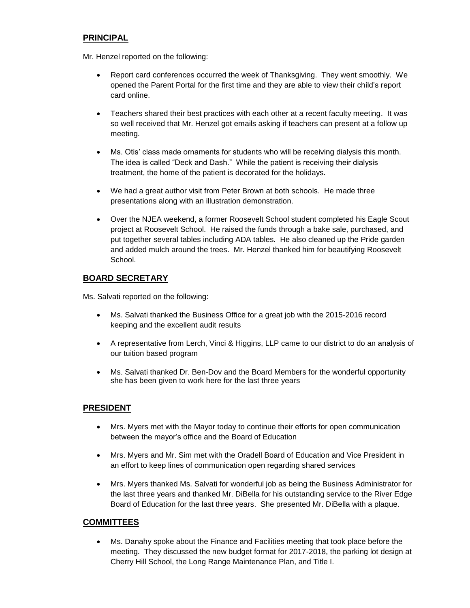# **PRINCIPAL**

Mr. Henzel reported on the following:

- Report card conferences occurred the week of Thanksgiving. They went smoothly. We opened the Parent Portal for the first time and they are able to view their child's report card online.
- Teachers shared their best practices with each other at a recent faculty meeting. It was so well received that Mr. Henzel got emails asking if teachers can present at a follow up meeting.
- Ms. Otis' class made ornaments for students who will be receiving dialysis this month. The idea is called "Deck and Dash." While the patient is receiving their dialysis treatment, the home of the patient is decorated for the holidays.
- We had a great author visit from Peter Brown at both schools. He made three presentations along with an illustration demonstration.
- Over the NJEA weekend, a former Roosevelt School student completed his Eagle Scout project at Roosevelt School. He raised the funds through a bake sale, purchased, and put together several tables including ADA tables. He also cleaned up the Pride garden and added mulch around the trees. Mr. Henzel thanked him for beautifying Roosevelt School.

# **BOARD SECRETARY**

Ms. Salvati reported on the following:

- Ms. Salvati thanked the Business Office for a great job with the 2015-2016 record keeping and the excellent audit results
- A representative from Lerch, Vinci & Higgins, LLP came to our district to do an analysis of our tuition based program
- Ms. Salvati thanked Dr. Ben-Dov and the Board Members for the wonderful opportunity she has been given to work here for the last three years

# **PRESIDENT**

- Mrs. Myers met with the Mayor today to continue their efforts for open communication between the mayor's office and the Board of Education
- Mrs. Myers and Mr. Sim met with the Oradell Board of Education and Vice President in an effort to keep lines of communication open regarding shared services
- Mrs. Myers thanked Ms. Salvati for wonderful job as being the Business Administrator for the last three years and thanked Mr. DiBella for his outstanding service to the River Edge Board of Education for the last three years. She presented Mr. DiBella with a plaque.

## **COMMITTEES**

 Ms. Danahy spoke about the Finance and Facilities meeting that took place before the meeting. They discussed the new budget format for 2017-2018, the parking lot design at Cherry Hill School, the Long Range Maintenance Plan, and Title I.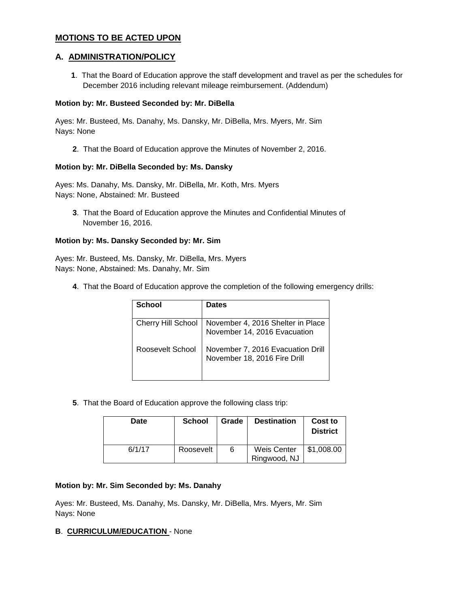## **MOTIONS TO BE ACTED UPON**

## **A. ADMINISTRATION/POLICY**

**1**. That the Board of Education approve the staff development and travel as per the schedules for December 2016 including relevant mileage reimbursement. (Addendum)

#### **Motion by: Mr. Busteed Seconded by: Mr. DiBella**

Ayes: Mr. Busteed, Ms. Danahy, Ms. Dansky, Mr. DiBella, Mrs. Myers, Mr. Sim Nays: None

**2**. That the Board of Education approve the Minutes of November 2, 2016.

#### **Motion by: Mr. DiBella Seconded by: Ms. Dansky**

Ayes: Ms. Danahy, Ms. Dansky, Mr. DiBella, Mr. Koth, Mrs. Myers Nays: None, Abstained: Mr. Busteed

**3**. That the Board of Education approve the Minutes and Confidential Minutes of November 16, 2016.

### **Motion by: Ms. Dansky Seconded by: Mr. Sim**

Ayes: Mr. Busteed, Ms. Dansky, Mr. DiBella, Mrs. Myers Nays: None, Abstained: Ms. Danahy, Mr. Sim

**4**. That the Board of Education approve the completion of the following emergency drills:

| School             | <b>Dates</b>                                                      |
|--------------------|-------------------------------------------------------------------|
| Cherry Hill School | November 4, 2016 Shelter in Place<br>November 14, 2016 Evacuation |
| Roosevelt School   | November 7, 2016 Evacuation Drill<br>November 18, 2016 Fire Drill |

**5**. That the Board of Education approve the following class trip:

| Date   | <b>School</b> | Grade | <b>Destination</b>          | Cost to<br><b>District</b> |
|--------|---------------|-------|-----------------------------|----------------------------|
| 6/1/17 | Roosevelt     | 6     | Weis Center<br>Ringwood, NJ | \$1,008.00                 |

### **Motion by: Mr. Sim Seconded by: Ms. Danahy**

Ayes: Mr. Busteed, Ms. Danahy, Ms. Dansky, Mr. DiBella, Mrs. Myers, Mr. Sim Nays: None

### **B**. **CURRICULUM/EDUCATION** - None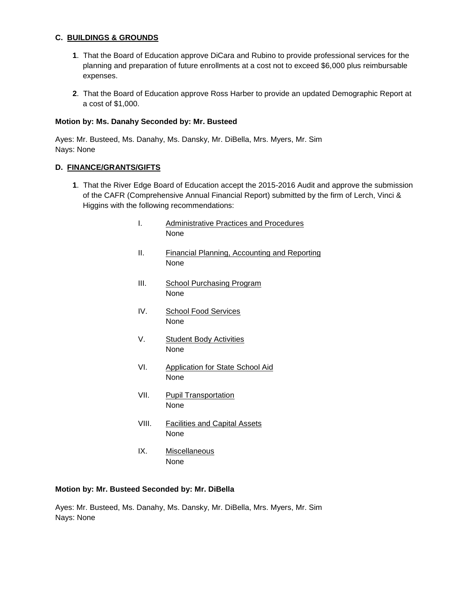### **C. BUILDINGS & GROUNDS**

- **1**. That the Board of Education approve DiCara and Rubino to provide professional services for the planning and preparation of future enrollments at a cost not to exceed \$6,000 plus reimbursable expenses.
- **2**. That the Board of Education approve Ross Harber to provide an updated Demographic Report at a cost of \$1,000.

#### **Motion by: Ms. Danahy Seconded by: Mr. Busteed**

Ayes: Mr. Busteed, Ms. Danahy, Ms. Dansky, Mr. DiBella, Mrs. Myers, Mr. Sim Nays: None

#### **D. FINANCE/GRANTS/GIFTS**

- **1**. That the River Edge Board of Education accept the 2015-2016 Audit and approve the submission of the CAFR (Comprehensive Annual Financial Report) submitted by the firm of Lerch, Vinci & Higgins with the following recommendations:
	- I. Administrative Practices and Procedures None
	- II. Financial Planning, Accounting and Reporting None
	- III. School Purchasing Program None
	- IV. School Food Services None
	- V. Student Body Activities None
	- VI. Application for State School Aid None
	- VII. Pupil Transportation None
	- VIII. Facilities and Capital Assets None
	- IX. Miscellaneous None

#### **Motion by: Mr. Busteed Seconded by: Mr. DiBella**

Ayes: Mr. Busteed, Ms. Danahy, Ms. Dansky, Mr. DiBella, Mrs. Myers, Mr. Sim Nays: None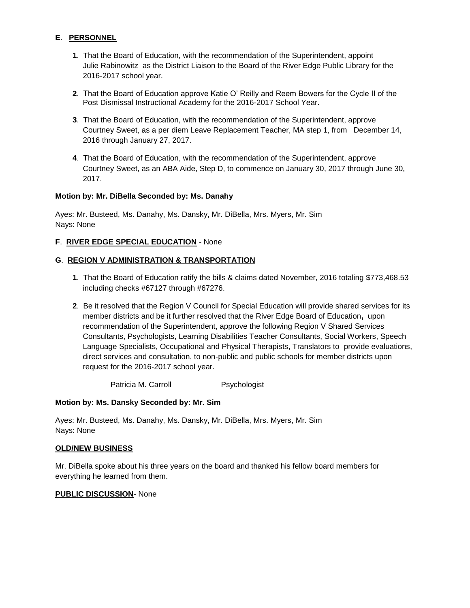## **E**. **PERSONNEL**

- **1**. That the Board of Education, with the recommendation of the Superintendent, appoint Julie Rabinowitz as the District Liaison to the Board of the River Edge Public Library for the 2016-2017 school year.
- **2**. That the Board of Education approve Katie O' Reilly and Reem Bowers for the Cycle II of the Post Dismissal Instructional Academy for the 2016-2017 School Year.
- **3**. That the Board of Education, with the recommendation of the Superintendent, approve Courtney Sweet, as a per diem Leave Replacement Teacher, MA step 1, from December 14, 2016 through January 27, 2017.
- **4**. That the Board of Education, with the recommendation of the Superintendent, approve Courtney Sweet, as an ABA Aide, Step D, to commence on January 30, 2017 through June 30, 2017.

### **Motion by: Mr. DiBella Seconded by: Ms. Danahy**

Ayes: Mr. Busteed, Ms. Danahy, Ms. Dansky, Mr. DiBella, Mrs. Myers, Mr. Sim Nays: None

#### **F**. **RIVER EDGE SPECIAL EDUCATION** - None

### **G**. **REGION V ADMINISTRATION & TRANSPORTATION**

- **1**. That the Board of Education ratify the bills & claims dated November, 2016 totaling \$773,468.53 including checks #67127 through #67276.
- **2**. Be it resolved that the Region V Council for Special Education will provide shared services for its member districts and be it further resolved that the River Edge Board of Education**,** upon recommendation of the Superintendent, approve the following Region V Shared Services Consultants, Psychologists, Learning Disabilities Teacher Consultants, Social Workers, Speech Language Specialists, Occupational and Physical Therapists, Translators to provide evaluations, direct services and consultation, to non-public and public schools for member districts upon request for the 2016-2017 school year.

Patricia M. Carroll Psychologist

#### **Motion by: Ms. Dansky Seconded by: Mr. Sim**

Ayes: Mr. Busteed, Ms. Danahy, Ms. Dansky, Mr. DiBella, Mrs. Myers, Mr. Sim Nays: None

#### **OLD/NEW BUSINESS**

Mr. DiBella spoke about his three years on the board and thanked his fellow board members for everything he learned from them.

#### **PUBLIC DISCUSSION**- None